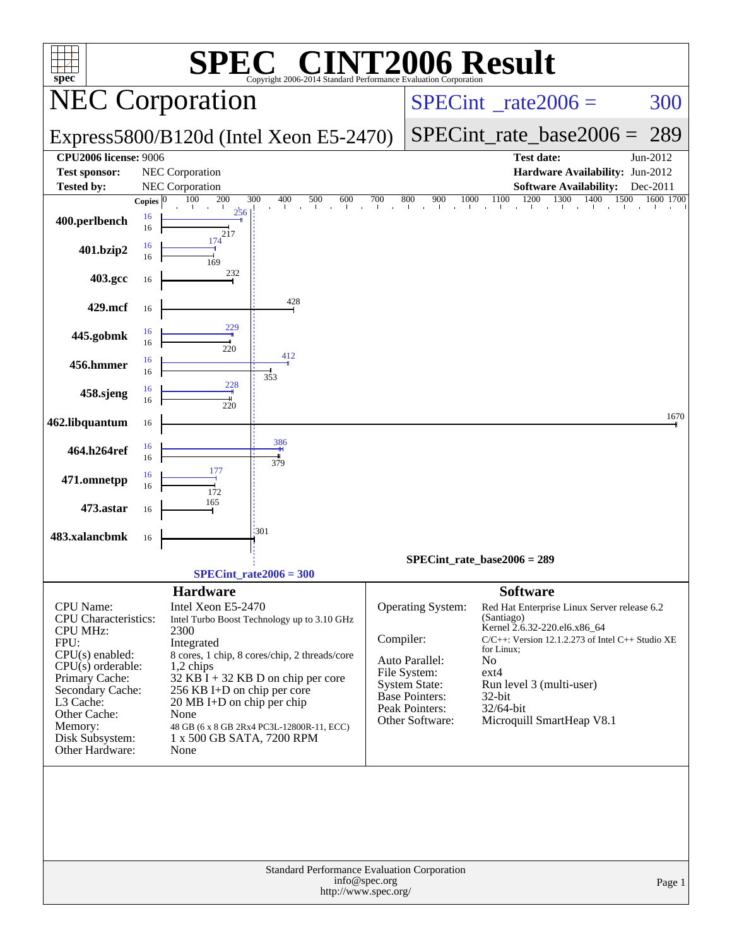| C <sup>®</sup> CINT2006 Result<br><b>SPE</b><br>spec <sup>®</sup><br>Copyright 2006-2014 Standard Performance Evaluation Corporation                                                                                                       |                                                                                                                                                                                                                                                                                                                                                                                   |                                                                                                                                                                                                                                                                                                                                                                                                                                                |  |  |  |  |  |  |  |  |
|--------------------------------------------------------------------------------------------------------------------------------------------------------------------------------------------------------------------------------------------|-----------------------------------------------------------------------------------------------------------------------------------------------------------------------------------------------------------------------------------------------------------------------------------------------------------------------------------------------------------------------------------|------------------------------------------------------------------------------------------------------------------------------------------------------------------------------------------------------------------------------------------------------------------------------------------------------------------------------------------------------------------------------------------------------------------------------------------------|--|--|--|--|--|--|--|--|
|                                                                                                                                                                                                                                            | <b>NEC Corporation</b>                                                                                                                                                                                                                                                                                                                                                            | $SPECint^{\circ}$ <sub>_rate2006</sub> =<br>300                                                                                                                                                                                                                                                                                                                                                                                                |  |  |  |  |  |  |  |  |
|                                                                                                                                                                                                                                            | Express5800/B120d (Intel Xeon E5-2470)                                                                                                                                                                                                                                                                                                                                            | 289<br>$SPECint_rate_base2006 =$                                                                                                                                                                                                                                                                                                                                                                                                               |  |  |  |  |  |  |  |  |
| <b>CPU2006 license: 9006</b>                                                                                                                                                                                                               |                                                                                                                                                                                                                                                                                                                                                                                   | Jun-2012<br><b>Test date:</b>                                                                                                                                                                                                                                                                                                                                                                                                                  |  |  |  |  |  |  |  |  |
| <b>Test sponsor:</b>                                                                                                                                                                                                                       | NEC Corporation                                                                                                                                                                                                                                                                                                                                                                   | Hardware Availability: Jun-2012                                                                                                                                                                                                                                                                                                                                                                                                                |  |  |  |  |  |  |  |  |
| <b>Tested by:</b>                                                                                                                                                                                                                          | NEC Corporation<br>100<br>200<br>300<br>400<br>500<br>Copies $ 0 $                                                                                                                                                                                                                                                                                                                | <b>Software Availability:</b><br>Dec-2011<br>1500<br>1600 1700                                                                                                                                                                                                                                                                                                                                                                                 |  |  |  |  |  |  |  |  |
| 400.perlbench                                                                                                                                                                                                                              | $\frac{700}{1}$<br>600<br>$\mathbf{r}$<br>$\mathbf{r}$<br>256<br>16<br>16<br>217                                                                                                                                                                                                                                                                                                  | $\frac{900}{1000}$ $\frac{1100}{100}$ $\frac{1200}{100}$ $\frac{1300}{100}$ $\frac{1400}{100}$<br>800<br>$\sim$                                                                                                                                                                                                                                                                                                                                |  |  |  |  |  |  |  |  |
| 401.bzip2                                                                                                                                                                                                                                  | 174<br>16<br>16<br>169                                                                                                                                                                                                                                                                                                                                                            |                                                                                                                                                                                                                                                                                                                                                                                                                                                |  |  |  |  |  |  |  |  |
| 403.gcc                                                                                                                                                                                                                                    | 232<br>16                                                                                                                                                                                                                                                                                                                                                                         |                                                                                                                                                                                                                                                                                                                                                                                                                                                |  |  |  |  |  |  |  |  |
| 429.mcf                                                                                                                                                                                                                                    | 428<br>16                                                                                                                                                                                                                                                                                                                                                                         |                                                                                                                                                                                                                                                                                                                                                                                                                                                |  |  |  |  |  |  |  |  |
| 445.gobmk                                                                                                                                                                                                                                  | 229<br>16<br>16<br>220                                                                                                                                                                                                                                                                                                                                                            |                                                                                                                                                                                                                                                                                                                                                                                                                                                |  |  |  |  |  |  |  |  |
| 456.hmmer                                                                                                                                                                                                                                  | 412<br>16<br>16<br>353<br>228                                                                                                                                                                                                                                                                                                                                                     |                                                                                                                                                                                                                                                                                                                                                                                                                                                |  |  |  |  |  |  |  |  |
| 458.sjeng                                                                                                                                                                                                                                  | 16<br>16<br>220                                                                                                                                                                                                                                                                                                                                                                   |                                                                                                                                                                                                                                                                                                                                                                                                                                                |  |  |  |  |  |  |  |  |
| 462.libquantum                                                                                                                                                                                                                             | 16                                                                                                                                                                                                                                                                                                                                                                                | 1670                                                                                                                                                                                                                                                                                                                                                                                                                                           |  |  |  |  |  |  |  |  |
| 464.h264ref                                                                                                                                                                                                                                | 386<br>16<br>16<br>379                                                                                                                                                                                                                                                                                                                                                            |                                                                                                                                                                                                                                                                                                                                                                                                                                                |  |  |  |  |  |  |  |  |
| 471.omnetpp                                                                                                                                                                                                                                | 177<br>16<br>16<br>172                                                                                                                                                                                                                                                                                                                                                            |                                                                                                                                                                                                                                                                                                                                                                                                                                                |  |  |  |  |  |  |  |  |
| 473.astar                                                                                                                                                                                                                                  | 165<br>16                                                                                                                                                                                                                                                                                                                                                                         |                                                                                                                                                                                                                                                                                                                                                                                                                                                |  |  |  |  |  |  |  |  |
| 483.xalancbmk                                                                                                                                                                                                                              | :301<br>16                                                                                                                                                                                                                                                                                                                                                                        |                                                                                                                                                                                                                                                                                                                                                                                                                                                |  |  |  |  |  |  |  |  |
|                                                                                                                                                                                                                                            |                                                                                                                                                                                                                                                                                                                                                                                   | $SPECint_rate_base2006 = 289$                                                                                                                                                                                                                                                                                                                                                                                                                  |  |  |  |  |  |  |  |  |
|                                                                                                                                                                                                                                            | $SPECint_rate2006 = 300$                                                                                                                                                                                                                                                                                                                                                          |                                                                                                                                                                                                                                                                                                                                                                                                                                                |  |  |  |  |  |  |  |  |
| <b>CPU</b> Name:<br><b>CPU</b> Characteristics:<br><b>CPU MHz:</b><br>FPU:<br>$CPU(s)$ enabled:<br>$CPU(s)$ orderable:<br>Primary Cache:<br>Secondary Cache:<br>L3 Cache:<br>Other Cache:<br>Memory:<br>Disk Subsystem:<br>Other Hardware: | <b>Hardware</b><br>Intel Xeon E5-2470<br>Intel Turbo Boost Technology up to 3.10 GHz<br>2300<br>Integrated<br>8 cores, 1 chip, 8 cores/chip, 2 threads/core<br>1,2 chips<br>$32$ KB I + 32 KB D on chip per core<br>256 KB I+D on chip per core<br>$20 \text{ MB I+D}$ on chip per chip<br>None<br>48 GB (6 x 8 GB 2Rx4 PC3L-12800R-11, ECC)<br>1 x 500 GB SATA, 7200 RPM<br>None | <b>Software</b><br>Operating System:<br>Red Hat Enterprise Linux Server release 6.2<br>(Santiago)<br>Kernel 2.6.32-220.el6.x86_64<br>Compiler:<br>$C/C++$ : Version 12.1.2.273 of Intel $C++$ Studio XE<br>for Linux;<br>Auto Parallel:<br>No<br>File System:<br>ext4<br><b>System State:</b><br>Run level 3 (multi-user)<br><b>Base Pointers:</b><br>$32$ -bit<br>Peak Pointers:<br>32/64-bit<br>Microquill SmartHeap V8.1<br>Other Software: |  |  |  |  |  |  |  |  |
|                                                                                                                                                                                                                                            | Standard Performance Evaluation Corporation                                                                                                                                                                                                                                                                                                                                       |                                                                                                                                                                                                                                                                                                                                                                                                                                                |  |  |  |  |  |  |  |  |
|                                                                                                                                                                                                                                            | info@spec.org<br>http://www.spec.org/                                                                                                                                                                                                                                                                                                                                             | Page 1                                                                                                                                                                                                                                                                                                                                                                                                                                         |  |  |  |  |  |  |  |  |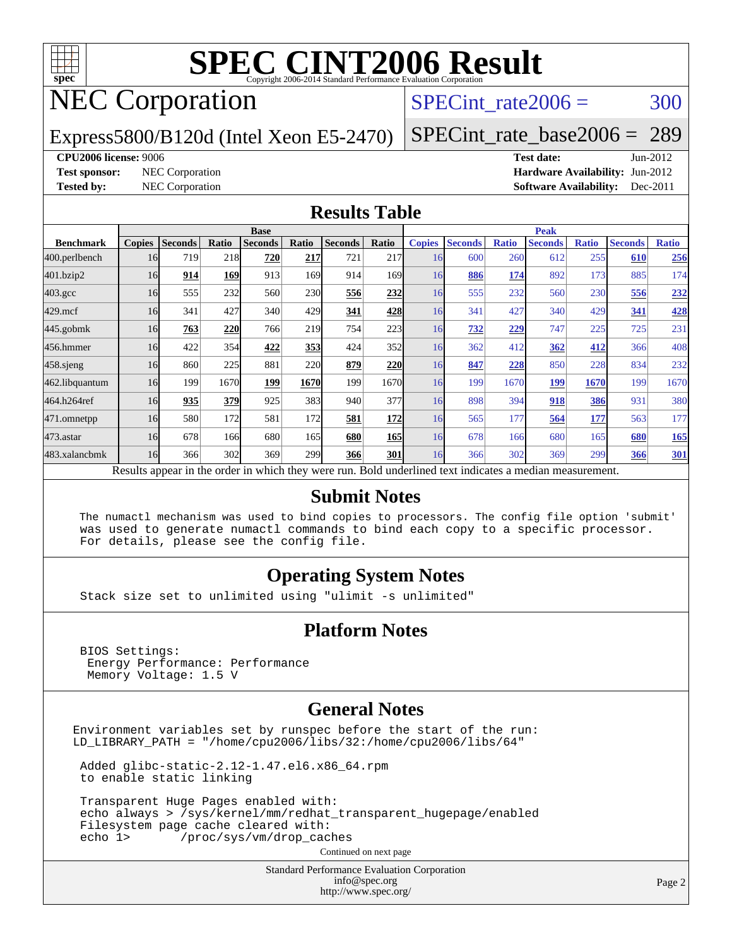

## NEC Corporation

### SPECint rate $2006 = 300$

Express5800/B120d (Intel Xeon E5-2470)

[SPECint\\_rate\\_base2006 =](http://www.spec.org/auto/cpu2006/Docs/result-fields.html#SPECintratebase2006) 289

#### **[CPU2006 license:](http://www.spec.org/auto/cpu2006/Docs/result-fields.html#CPU2006license)** 9006 **[Test date:](http://www.spec.org/auto/cpu2006/Docs/result-fields.html#Testdate)** Jun-2012

**[Test sponsor:](http://www.spec.org/auto/cpu2006/Docs/result-fields.html#Testsponsor)** NEC Corporation **[Hardware Availability:](http://www.spec.org/auto/cpu2006/Docs/result-fields.html#HardwareAvailability)** Jun-2012 **[Tested by:](http://www.spec.org/auto/cpu2006/Docs/result-fields.html#Testedby)** NEC Corporation **[Software Availability:](http://www.spec.org/auto/cpu2006/Docs/result-fields.html#SoftwareAvailability)** Dec-2011

#### **[Results Table](http://www.spec.org/auto/cpu2006/Docs/result-fields.html#ResultsTable)**

|                                                                                                          | <b>Base</b>   |                |       |                |            |                |              | <b>Peak</b>   |                |              |                |              |                |              |
|----------------------------------------------------------------------------------------------------------|---------------|----------------|-------|----------------|------------|----------------|--------------|---------------|----------------|--------------|----------------|--------------|----------------|--------------|
| <b>Benchmark</b>                                                                                         | <b>Copies</b> | <b>Seconds</b> | Ratio | <b>Seconds</b> | Ratio      | <b>Seconds</b> | <b>Ratio</b> | <b>Copies</b> | <b>Seconds</b> | <b>Ratio</b> | <b>Seconds</b> | <b>Ratio</b> | <b>Seconds</b> | <b>Ratio</b> |
| 400.perlbench                                                                                            | 16            | 719            | 218   | 720            | 217        | 721            | 217          | 16            | 600            | 260          | 612            | 255          | 610            | 256          |
| 401.bzip2                                                                                                | 16            | 914            | 169   | 913            | 169        | 914            | 169I         | 16            | 886            | 174          | 892            | 173          | 885            | 174          |
| $403.\mathrm{gcc}$                                                                                       | 16            | 555            | 232   | 560            | <b>230</b> | 556            | 232          | 16            | 555            | 232          | 560            | 230          | 556            | <u>232</u>   |
| $429$ .mcf                                                                                               | 16            | 341            | 427   | 340            | 429        | 341            | 428          | 16            | 341            | 427          | 340            | 429          | 341            | 428          |
| $445$ .gobmk                                                                                             | 16            | 763            | 220   | 766            | 219        | 754            | 223          | 16            | 732            | 229          | 747            | 225          | 725            | 231          |
| 456.hmmer                                                                                                | 16            | 422            | 354   | 422            | 353        | 424            | 352          | 16            | 362            | 412          | 362            | 412          | 366            | 408          |
| $458$ .sjeng                                                                                             | 16            | 860            | 225   | 881            | 220        | 879            | 220          | 16            | 847            | 228          | 850            | 228          | 834            | 232          |
| 462.libquantum                                                                                           | 16            | 199            | 1670  | 199            | 1670       | 199            | 1670         | 16            | 199            | 1670         | 199            | 1670         | 199            | 1670         |
| 464.h264ref                                                                                              | 16            | 935            | 379   | 925            | 383        | 940            | 377          | 16            | 898            | 394          | 918            | <b>386</b>   | 931            | 380          |
| 471.omnetpp                                                                                              | 16            | 580            | 172   | 581            | 172        | 581            | 172          | 16            | 565            | 177          | 564            | 177          | 563            | 177          |
| $473.$ astar                                                                                             | 16            | 678            | 166   | 680            | 165        | 680            | 165          | 16            | 678            | 166          | 680            | 165          | 680            | <b>165</b>   |
| 483.xalancbmk                                                                                            | 16            | 366            | 302   | 369            | 299        | 366            | 301          | 16            | 366            | 302          | 369            | 299          | 366            | <b>301</b>   |
| Results appear in the order in which they were run. Bold underlined text indicates a median measurement. |               |                |       |                |            |                |              |               |                |              |                |              |                |              |

#### **[Submit Notes](http://www.spec.org/auto/cpu2006/Docs/result-fields.html#SubmitNotes)**

 The numactl mechanism was used to bind copies to processors. The config file option 'submit' was used to generate numactl commands to bind each copy to a specific processor. For details, please see the config file.

#### **[Operating System Notes](http://www.spec.org/auto/cpu2006/Docs/result-fields.html#OperatingSystemNotes)**

Stack size set to unlimited using "ulimit -s unlimited"

#### **[Platform Notes](http://www.spec.org/auto/cpu2006/Docs/result-fields.html#PlatformNotes)**

 BIOS Settings: Energy Performance: Performance Memory Voltage: 1.5 V

#### **[General Notes](http://www.spec.org/auto/cpu2006/Docs/result-fields.html#GeneralNotes)**

Environment variables set by runspec before the start of the run: LD\_LIBRARY\_PATH = "/home/cpu2006/libs/32:/home/cpu2006/libs/64"

 Added glibc-static-2.12-1.47.el6.x86\_64.rpm to enable static linking

 Transparent Huge Pages enabled with: echo always > /sys/kernel/mm/redhat\_transparent\_hugepage/enabled Filesystem page cache cleared with:<br>echo 1> /proc/sys/ym/drop cac /proc/sys/vm/drop\_caches

Continued on next page

Standard Performance Evaluation Corporation [info@spec.org](mailto:info@spec.org) <http://www.spec.org/>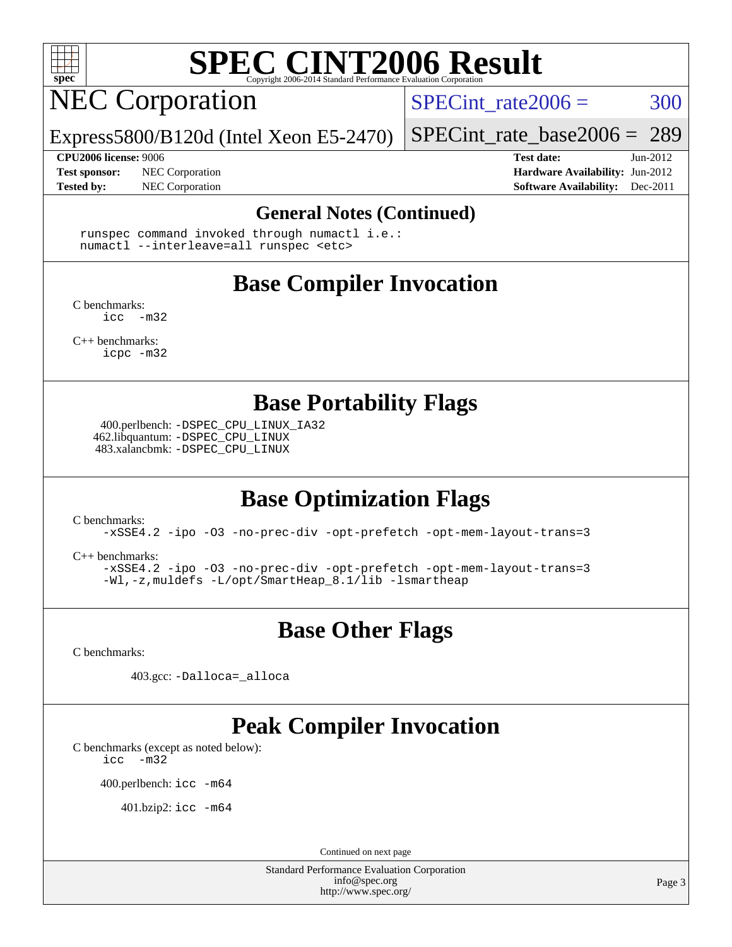

## **NEC Corporation**

SPECint rate $2006 = 300$ 

[SPECint\\_rate\\_base2006 =](http://www.spec.org/auto/cpu2006/Docs/result-fields.html#SPECintratebase2006) 289

Express5800/B120d (Intel Xeon E5-2470)

**[Tested by:](http://www.spec.org/auto/cpu2006/Docs/result-fields.html#Testedby)** NEC Corporation **[Software Availability:](http://www.spec.org/auto/cpu2006/Docs/result-fields.html#SoftwareAvailability)** Dec-2011

**[CPU2006 license:](http://www.spec.org/auto/cpu2006/Docs/result-fields.html#CPU2006license)** 9006 **[Test date:](http://www.spec.org/auto/cpu2006/Docs/result-fields.html#Testdate)** Jun-2012 **[Test sponsor:](http://www.spec.org/auto/cpu2006/Docs/result-fields.html#Testsponsor)** NEC Corporation **NEC Corporation [Hardware Availability:](http://www.spec.org/auto/cpu2006/Docs/result-fields.html#HardwareAvailability)** Jun-2012

#### **[General Notes \(Continued\)](http://www.spec.org/auto/cpu2006/Docs/result-fields.html#GeneralNotes)**

 runspec command invoked through numactl i.e.: numactl --interleave=all runspec <etc>

## **[Base Compiler Invocation](http://www.spec.org/auto/cpu2006/Docs/result-fields.html#BaseCompilerInvocation)**

[C benchmarks](http://www.spec.org/auto/cpu2006/Docs/result-fields.html#Cbenchmarks):  $inc -m32$ 

[C++ benchmarks:](http://www.spec.org/auto/cpu2006/Docs/result-fields.html#CXXbenchmarks) [icpc -m32](http://www.spec.org/cpu2006/results/res2012q3/cpu2006-20120617-22953.flags.html#user_CXXbase_intel_icpc_4e5a5ef1a53fd332b3c49e69c3330699)

**[Base Portability Flags](http://www.spec.org/auto/cpu2006/Docs/result-fields.html#BasePortabilityFlags)**

 400.perlbench: [-DSPEC\\_CPU\\_LINUX\\_IA32](http://www.spec.org/cpu2006/results/res2012q3/cpu2006-20120617-22953.flags.html#b400.perlbench_baseCPORTABILITY_DSPEC_CPU_LINUX_IA32) 462.libquantum: [-DSPEC\\_CPU\\_LINUX](http://www.spec.org/cpu2006/results/res2012q3/cpu2006-20120617-22953.flags.html#b462.libquantum_baseCPORTABILITY_DSPEC_CPU_LINUX) 483.xalancbmk: [-DSPEC\\_CPU\\_LINUX](http://www.spec.org/cpu2006/results/res2012q3/cpu2006-20120617-22953.flags.html#b483.xalancbmk_baseCXXPORTABILITY_DSPEC_CPU_LINUX)

### **[Base Optimization Flags](http://www.spec.org/auto/cpu2006/Docs/result-fields.html#BaseOptimizationFlags)**

[C benchmarks](http://www.spec.org/auto/cpu2006/Docs/result-fields.html#Cbenchmarks):

[-xSSE4.2](http://www.spec.org/cpu2006/results/res2012q3/cpu2006-20120617-22953.flags.html#user_CCbase_f-xSSE42_f91528193cf0b216347adb8b939d4107) [-ipo](http://www.spec.org/cpu2006/results/res2012q3/cpu2006-20120617-22953.flags.html#user_CCbase_f-ipo) [-O3](http://www.spec.org/cpu2006/results/res2012q3/cpu2006-20120617-22953.flags.html#user_CCbase_f-O3) [-no-prec-div](http://www.spec.org/cpu2006/results/res2012q3/cpu2006-20120617-22953.flags.html#user_CCbase_f-no-prec-div) [-opt-prefetch](http://www.spec.org/cpu2006/results/res2012q3/cpu2006-20120617-22953.flags.html#user_CCbase_f-opt-prefetch) [-opt-mem-layout-trans=3](http://www.spec.org/cpu2006/results/res2012q3/cpu2006-20120617-22953.flags.html#user_CCbase_f-opt-mem-layout-trans_a7b82ad4bd7abf52556d4961a2ae94d5)

[C++ benchmarks:](http://www.spec.org/auto/cpu2006/Docs/result-fields.html#CXXbenchmarks)

[-xSSE4.2](http://www.spec.org/cpu2006/results/res2012q3/cpu2006-20120617-22953.flags.html#user_CXXbase_f-xSSE42_f91528193cf0b216347adb8b939d4107) [-ipo](http://www.spec.org/cpu2006/results/res2012q3/cpu2006-20120617-22953.flags.html#user_CXXbase_f-ipo) [-O3](http://www.spec.org/cpu2006/results/res2012q3/cpu2006-20120617-22953.flags.html#user_CXXbase_f-O3) [-no-prec-div](http://www.spec.org/cpu2006/results/res2012q3/cpu2006-20120617-22953.flags.html#user_CXXbase_f-no-prec-div) [-opt-prefetch](http://www.spec.org/cpu2006/results/res2012q3/cpu2006-20120617-22953.flags.html#user_CXXbase_f-opt-prefetch) [-opt-mem-layout-trans=3](http://www.spec.org/cpu2006/results/res2012q3/cpu2006-20120617-22953.flags.html#user_CXXbase_f-opt-mem-layout-trans_a7b82ad4bd7abf52556d4961a2ae94d5) [-Wl,-z,muldefs](http://www.spec.org/cpu2006/results/res2012q3/cpu2006-20120617-22953.flags.html#user_CXXbase_link_force_multiple1_74079c344b956b9658436fd1b6dd3a8a) [-L/opt/SmartHeap\\_8.1/lib -lsmartheap](http://www.spec.org/cpu2006/results/res2012q3/cpu2006-20120617-22953.flags.html#user_CXXbase_SmartHeap_d5ba4dfc9de25d3c657c7de7476e66c5)

### **[Base Other Flags](http://www.spec.org/auto/cpu2006/Docs/result-fields.html#BaseOtherFlags)**

[C benchmarks](http://www.spec.org/auto/cpu2006/Docs/result-fields.html#Cbenchmarks):

403.gcc: [-Dalloca=\\_alloca](http://www.spec.org/cpu2006/results/res2012q3/cpu2006-20120617-22953.flags.html#b403.gcc_baseEXTRA_CFLAGS_Dalloca_be3056838c12de2578596ca5467af7f3)

## **[Peak Compiler Invocation](http://www.spec.org/auto/cpu2006/Docs/result-fields.html#PeakCompilerInvocation)**

[C benchmarks \(except as noted below\)](http://www.spec.org/auto/cpu2006/Docs/result-fields.html#Cbenchmarksexceptasnotedbelow):

[icc -m32](http://www.spec.org/cpu2006/results/res2012q3/cpu2006-20120617-22953.flags.html#user_CCpeak_intel_icc_5ff4a39e364c98233615fdd38438c6f2)

400.perlbench: [icc -m64](http://www.spec.org/cpu2006/results/res2012q3/cpu2006-20120617-22953.flags.html#user_peakCCLD400_perlbench_intel_icc_64bit_bda6cc9af1fdbb0edc3795bac97ada53)

401.bzip2: [icc -m64](http://www.spec.org/cpu2006/results/res2012q3/cpu2006-20120617-22953.flags.html#user_peakCCLD401_bzip2_intel_icc_64bit_bda6cc9af1fdbb0edc3795bac97ada53)

Continued on next page

Standard Performance Evaluation Corporation [info@spec.org](mailto:info@spec.org) <http://www.spec.org/>

Page 3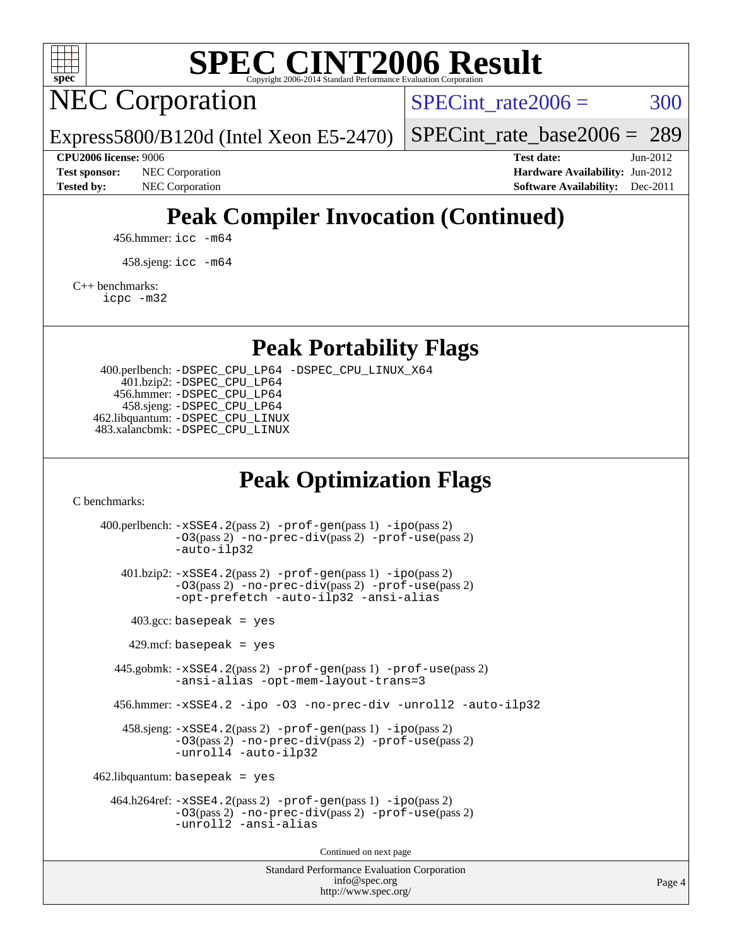

NEC Corporation

SPECint rate $2006 = 300$ 

[SPECint\\_rate\\_base2006 =](http://www.spec.org/auto/cpu2006/Docs/result-fields.html#SPECintratebase2006) 289

**[Test sponsor:](http://www.spec.org/auto/cpu2006/Docs/result-fields.html#Testsponsor)** NEC Corporation **NEC Corporation [Hardware Availability:](http://www.spec.org/auto/cpu2006/Docs/result-fields.html#HardwareAvailability)** Jun-2012

**[CPU2006 license:](http://www.spec.org/auto/cpu2006/Docs/result-fields.html#CPU2006license)** 9006 **[Test date:](http://www.spec.org/auto/cpu2006/Docs/result-fields.html#Testdate)** Jun-2012 **[Tested by:](http://www.spec.org/auto/cpu2006/Docs/result-fields.html#Testedby)** NEC Corporation **[Software Availability:](http://www.spec.org/auto/cpu2006/Docs/result-fields.html#SoftwareAvailability)** Dec-2011

## **[Peak Compiler Invocation \(Continued\)](http://www.spec.org/auto/cpu2006/Docs/result-fields.html#PeakCompilerInvocation)**

456.hmmer: [icc -m64](http://www.spec.org/cpu2006/results/res2012q3/cpu2006-20120617-22953.flags.html#user_peakCCLD456_hmmer_intel_icc_64bit_bda6cc9af1fdbb0edc3795bac97ada53)

Express5800/B120d (Intel Xeon E5-2470)

458.sjeng: [icc -m64](http://www.spec.org/cpu2006/results/res2012q3/cpu2006-20120617-22953.flags.html#user_peakCCLD458_sjeng_intel_icc_64bit_bda6cc9af1fdbb0edc3795bac97ada53)

[C++ benchmarks:](http://www.spec.org/auto/cpu2006/Docs/result-fields.html#CXXbenchmarks)

[icpc -m32](http://www.spec.org/cpu2006/results/res2012q3/cpu2006-20120617-22953.flags.html#user_CXXpeak_intel_icpc_4e5a5ef1a53fd332b3c49e69c3330699)

**[Peak Portability Flags](http://www.spec.org/auto/cpu2006/Docs/result-fields.html#PeakPortabilityFlags)**

 400.perlbench: [-DSPEC\\_CPU\\_LP64](http://www.spec.org/cpu2006/results/res2012q3/cpu2006-20120617-22953.flags.html#b400.perlbench_peakCPORTABILITY_DSPEC_CPU_LP64) [-DSPEC\\_CPU\\_LINUX\\_X64](http://www.spec.org/cpu2006/results/res2012q3/cpu2006-20120617-22953.flags.html#b400.perlbench_peakCPORTABILITY_DSPEC_CPU_LINUX_X64) 401.bzip2: [-DSPEC\\_CPU\\_LP64](http://www.spec.org/cpu2006/results/res2012q3/cpu2006-20120617-22953.flags.html#suite_peakCPORTABILITY401_bzip2_DSPEC_CPU_LP64) 456.hmmer: [-DSPEC\\_CPU\\_LP64](http://www.spec.org/cpu2006/results/res2012q3/cpu2006-20120617-22953.flags.html#suite_peakCPORTABILITY456_hmmer_DSPEC_CPU_LP64) 458.sjeng: [-DSPEC\\_CPU\\_LP64](http://www.spec.org/cpu2006/results/res2012q3/cpu2006-20120617-22953.flags.html#suite_peakCPORTABILITY458_sjeng_DSPEC_CPU_LP64) 462.libquantum: [-DSPEC\\_CPU\\_LINUX](http://www.spec.org/cpu2006/results/res2012q3/cpu2006-20120617-22953.flags.html#b462.libquantum_peakCPORTABILITY_DSPEC_CPU_LINUX) 483.xalancbmk: [-DSPEC\\_CPU\\_LINUX](http://www.spec.org/cpu2006/results/res2012q3/cpu2006-20120617-22953.flags.html#b483.xalancbmk_peakCXXPORTABILITY_DSPEC_CPU_LINUX)

### **[Peak Optimization Flags](http://www.spec.org/auto/cpu2006/Docs/result-fields.html#PeakOptimizationFlags)**

[C benchmarks](http://www.spec.org/auto/cpu2006/Docs/result-fields.html#Cbenchmarks):

Standard Performance Evaluation Corporation 400.perlbench: [-xSSE4.2](http://www.spec.org/cpu2006/results/res2012q3/cpu2006-20120617-22953.flags.html#user_peakPASS2_CFLAGSPASS2_LDCFLAGS400_perlbench_f-xSSE42_f91528193cf0b216347adb8b939d4107)(pass 2) [-prof-gen](http://www.spec.org/cpu2006/results/res2012q3/cpu2006-20120617-22953.flags.html#user_peakPASS1_CFLAGSPASS1_LDCFLAGS400_perlbench_prof_gen_e43856698f6ca7b7e442dfd80e94a8fc)(pass 1) [-ipo](http://www.spec.org/cpu2006/results/res2012q3/cpu2006-20120617-22953.flags.html#user_peakPASS2_CFLAGSPASS2_LDCFLAGS400_perlbench_f-ipo)(pass 2) [-O3](http://www.spec.org/cpu2006/results/res2012q3/cpu2006-20120617-22953.flags.html#user_peakPASS2_CFLAGSPASS2_LDCFLAGS400_perlbench_f-O3)(pass 2) [-no-prec-div](http://www.spec.org/cpu2006/results/res2012q3/cpu2006-20120617-22953.flags.html#user_peakPASS2_CFLAGSPASS2_LDCFLAGS400_perlbench_f-no-prec-div)(pass 2) [-prof-use](http://www.spec.org/cpu2006/results/res2012q3/cpu2006-20120617-22953.flags.html#user_peakPASS2_CFLAGSPASS2_LDCFLAGS400_perlbench_prof_use_bccf7792157ff70d64e32fe3e1250b55)(pass 2) [-auto-ilp32](http://www.spec.org/cpu2006/results/res2012q3/cpu2006-20120617-22953.flags.html#user_peakCOPTIMIZE400_perlbench_f-auto-ilp32) 401.bzip2: [-xSSE4.2](http://www.spec.org/cpu2006/results/res2012q3/cpu2006-20120617-22953.flags.html#user_peakPASS2_CFLAGSPASS2_LDCFLAGS401_bzip2_f-xSSE42_f91528193cf0b216347adb8b939d4107)(pass 2) [-prof-gen](http://www.spec.org/cpu2006/results/res2012q3/cpu2006-20120617-22953.flags.html#user_peakPASS1_CFLAGSPASS1_LDCFLAGS401_bzip2_prof_gen_e43856698f6ca7b7e442dfd80e94a8fc)(pass 1) [-ipo](http://www.spec.org/cpu2006/results/res2012q3/cpu2006-20120617-22953.flags.html#user_peakPASS2_CFLAGSPASS2_LDCFLAGS401_bzip2_f-ipo)(pass 2) [-O3](http://www.spec.org/cpu2006/results/res2012q3/cpu2006-20120617-22953.flags.html#user_peakPASS2_CFLAGSPASS2_LDCFLAGS401_bzip2_f-O3)(pass 2) [-no-prec-div](http://www.spec.org/cpu2006/results/res2012q3/cpu2006-20120617-22953.flags.html#user_peakPASS2_CFLAGSPASS2_LDCFLAGS401_bzip2_f-no-prec-div)(pass 2) [-prof-use](http://www.spec.org/cpu2006/results/res2012q3/cpu2006-20120617-22953.flags.html#user_peakPASS2_CFLAGSPASS2_LDCFLAGS401_bzip2_prof_use_bccf7792157ff70d64e32fe3e1250b55)(pass 2) [-opt-prefetch](http://www.spec.org/cpu2006/results/res2012q3/cpu2006-20120617-22953.flags.html#user_peakCOPTIMIZE401_bzip2_f-opt-prefetch) [-auto-ilp32](http://www.spec.org/cpu2006/results/res2012q3/cpu2006-20120617-22953.flags.html#user_peakCOPTIMIZE401_bzip2_f-auto-ilp32) [-ansi-alias](http://www.spec.org/cpu2006/results/res2012q3/cpu2006-20120617-22953.flags.html#user_peakCOPTIMIZE401_bzip2_f-ansi-alias)  $403.\text{gcc: basepeak}$  = yes  $429$ .mcf: basepeak = yes 445.gobmk: [-xSSE4.2](http://www.spec.org/cpu2006/results/res2012q3/cpu2006-20120617-22953.flags.html#user_peakPASS2_CFLAGSPASS2_LDCFLAGS445_gobmk_f-xSSE42_f91528193cf0b216347adb8b939d4107)(pass 2) [-prof-gen](http://www.spec.org/cpu2006/results/res2012q3/cpu2006-20120617-22953.flags.html#user_peakPASS1_CFLAGSPASS1_LDCFLAGS445_gobmk_prof_gen_e43856698f6ca7b7e442dfd80e94a8fc)(pass 1) [-prof-use](http://www.spec.org/cpu2006/results/res2012q3/cpu2006-20120617-22953.flags.html#user_peakPASS2_CFLAGSPASS2_LDCFLAGS445_gobmk_prof_use_bccf7792157ff70d64e32fe3e1250b55)(pass 2) [-ansi-alias](http://www.spec.org/cpu2006/results/res2012q3/cpu2006-20120617-22953.flags.html#user_peakCOPTIMIZE445_gobmk_f-ansi-alias) [-opt-mem-layout-trans=3](http://www.spec.org/cpu2006/results/res2012q3/cpu2006-20120617-22953.flags.html#user_peakCOPTIMIZE445_gobmk_f-opt-mem-layout-trans_a7b82ad4bd7abf52556d4961a2ae94d5) 456.hmmer: [-xSSE4.2](http://www.spec.org/cpu2006/results/res2012q3/cpu2006-20120617-22953.flags.html#user_peakCOPTIMIZE456_hmmer_f-xSSE42_f91528193cf0b216347adb8b939d4107) [-ipo](http://www.spec.org/cpu2006/results/res2012q3/cpu2006-20120617-22953.flags.html#user_peakCOPTIMIZE456_hmmer_f-ipo) [-O3](http://www.spec.org/cpu2006/results/res2012q3/cpu2006-20120617-22953.flags.html#user_peakCOPTIMIZE456_hmmer_f-O3) [-no-prec-div](http://www.spec.org/cpu2006/results/res2012q3/cpu2006-20120617-22953.flags.html#user_peakCOPTIMIZE456_hmmer_f-no-prec-div) [-unroll2](http://www.spec.org/cpu2006/results/res2012q3/cpu2006-20120617-22953.flags.html#user_peakCOPTIMIZE456_hmmer_f-unroll_784dae83bebfb236979b41d2422d7ec2) [-auto-ilp32](http://www.spec.org/cpu2006/results/res2012q3/cpu2006-20120617-22953.flags.html#user_peakCOPTIMIZE456_hmmer_f-auto-ilp32) 458.sjeng: [-xSSE4.2](http://www.spec.org/cpu2006/results/res2012q3/cpu2006-20120617-22953.flags.html#user_peakPASS2_CFLAGSPASS2_LDCFLAGS458_sjeng_f-xSSE42_f91528193cf0b216347adb8b939d4107)(pass 2) [-prof-gen](http://www.spec.org/cpu2006/results/res2012q3/cpu2006-20120617-22953.flags.html#user_peakPASS1_CFLAGSPASS1_LDCFLAGS458_sjeng_prof_gen_e43856698f6ca7b7e442dfd80e94a8fc)(pass 1) [-ipo](http://www.spec.org/cpu2006/results/res2012q3/cpu2006-20120617-22953.flags.html#user_peakPASS2_CFLAGSPASS2_LDCFLAGS458_sjeng_f-ipo)(pass 2) [-O3](http://www.spec.org/cpu2006/results/res2012q3/cpu2006-20120617-22953.flags.html#user_peakPASS2_CFLAGSPASS2_LDCFLAGS458_sjeng_f-O3)(pass 2) [-no-prec-div](http://www.spec.org/cpu2006/results/res2012q3/cpu2006-20120617-22953.flags.html#user_peakPASS2_CFLAGSPASS2_LDCFLAGS458_sjeng_f-no-prec-div)(pass 2) [-prof-use](http://www.spec.org/cpu2006/results/res2012q3/cpu2006-20120617-22953.flags.html#user_peakPASS2_CFLAGSPASS2_LDCFLAGS458_sjeng_prof_use_bccf7792157ff70d64e32fe3e1250b55)(pass 2) [-unroll4](http://www.spec.org/cpu2006/results/res2012q3/cpu2006-20120617-22953.flags.html#user_peakCOPTIMIZE458_sjeng_f-unroll_4e5e4ed65b7fd20bdcd365bec371b81f) [-auto-ilp32](http://www.spec.org/cpu2006/results/res2012q3/cpu2006-20120617-22953.flags.html#user_peakCOPTIMIZE458_sjeng_f-auto-ilp32)  $462$ .libquantum: basepeak = yes 464.h264ref: [-xSSE4.2](http://www.spec.org/cpu2006/results/res2012q3/cpu2006-20120617-22953.flags.html#user_peakPASS2_CFLAGSPASS2_LDCFLAGS464_h264ref_f-xSSE42_f91528193cf0b216347adb8b939d4107)(pass 2) [-prof-gen](http://www.spec.org/cpu2006/results/res2012q3/cpu2006-20120617-22953.flags.html#user_peakPASS1_CFLAGSPASS1_LDCFLAGS464_h264ref_prof_gen_e43856698f6ca7b7e442dfd80e94a8fc)(pass 1) [-ipo](http://www.spec.org/cpu2006/results/res2012q3/cpu2006-20120617-22953.flags.html#user_peakPASS2_CFLAGSPASS2_LDCFLAGS464_h264ref_f-ipo)(pass 2) [-O3](http://www.spec.org/cpu2006/results/res2012q3/cpu2006-20120617-22953.flags.html#user_peakPASS2_CFLAGSPASS2_LDCFLAGS464_h264ref_f-O3)(pass 2) [-no-prec-div](http://www.spec.org/cpu2006/results/res2012q3/cpu2006-20120617-22953.flags.html#user_peakPASS2_CFLAGSPASS2_LDCFLAGS464_h264ref_f-no-prec-div)(pass 2) [-prof-use](http://www.spec.org/cpu2006/results/res2012q3/cpu2006-20120617-22953.flags.html#user_peakPASS2_CFLAGSPASS2_LDCFLAGS464_h264ref_prof_use_bccf7792157ff70d64e32fe3e1250b55)(pass 2) [-unroll2](http://www.spec.org/cpu2006/results/res2012q3/cpu2006-20120617-22953.flags.html#user_peakCOPTIMIZE464_h264ref_f-unroll_784dae83bebfb236979b41d2422d7ec2) [-ansi-alias](http://www.spec.org/cpu2006/results/res2012q3/cpu2006-20120617-22953.flags.html#user_peakCOPTIMIZE464_h264ref_f-ansi-alias) Continued on next page

[info@spec.org](mailto:info@spec.org) <http://www.spec.org/>